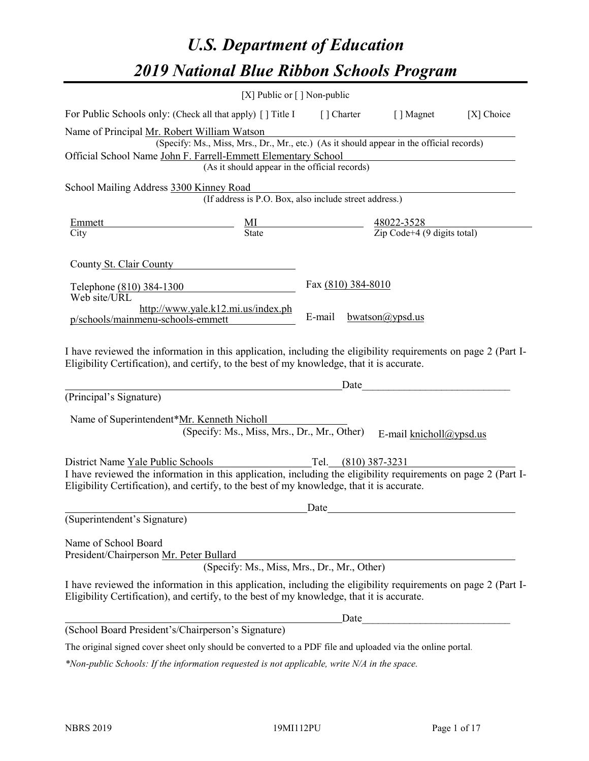# *U.S. Department of Education 2019 National Blue Ribbon Schools Program*

|                                                                                                                | [X] Public or $\lceil$ ] Non-public                                                      |                                                           |                         |            |
|----------------------------------------------------------------------------------------------------------------|------------------------------------------------------------------------------------------|-----------------------------------------------------------|-------------------------|------------|
| For Public Schools only: (Check all that apply) [] Title I                                                     |                                                                                          | [ ] Charter                                               | [ ] Magnet              | [X] Choice |
| Name of Principal Mr. Robert William Watson                                                                    |                                                                                          |                                                           |                         |            |
|                                                                                                                | (Specify: Ms., Miss, Mrs., Dr., Mr., etc.) (As it should appear in the official records) |                                                           |                         |            |
| Official School Name John F. Farrell-Emmett Elementary School                                                  | (As it should appear in the official records)                                            |                                                           |                         |            |
|                                                                                                                |                                                                                          |                                                           |                         |            |
| School Mailing Address 3300 Kinney Road                                                                        |                                                                                          |                                                           |                         |            |
|                                                                                                                | (If address is P.O. Box, also include street address.)                                   |                                                           |                         |            |
| Emmett                                                                                                         | $\frac{MI}{State}$                                                                       | $\frac{48022 - 3528}{\text{Zip Code}+4 (9 digits total)}$ |                         |            |
| City                                                                                                           |                                                                                          |                                                           |                         |            |
|                                                                                                                |                                                                                          |                                                           |                         |            |
| County St. Clair County                                                                                        |                                                                                          |                                                           |                         |            |
| Telephone (810) 384-1300                                                                                       |                                                                                          | Fax (810) 384-8010                                        |                         |            |
| Web site/URL                                                                                                   |                                                                                          |                                                           |                         |            |
|                                                                                                                | http://www.yale.k12.mi.us/index.ph                                                       | E-mail                                                    | bwatson $(a)$ ypsd.us   |            |
| p/schools/mainmenu-schools-emmett                                                                              |                                                                                          |                                                           |                         |            |
|                                                                                                                |                                                                                          |                                                           |                         |            |
| I have reviewed the information in this application, including the eligibility requirements on page 2 (Part I- |                                                                                          |                                                           |                         |            |
| Eligibility Certification), and certify, to the best of my knowledge, that it is accurate.                     |                                                                                          |                                                           |                         |            |
|                                                                                                                |                                                                                          | Date                                                      |                         |            |
| (Principal's Signature)                                                                                        |                                                                                          |                                                           |                         |            |
| Name of Superintendent*Mr. Kenneth Nicholl                                                                     |                                                                                          |                                                           |                         |            |
|                                                                                                                | (Specify: Ms., Miss, Mrs., Dr., Mr., Other)                                              |                                                           | E-mail knicholl@ypsd.us |            |
|                                                                                                                |                                                                                          |                                                           |                         |            |
| District Name Yale Public Schools                                                                              |                                                                                          | Tel.                                                      | $(810)$ 387-3231        |            |
| I have reviewed the information in this application, including the eligibility requirements on page 2 (Part I- |                                                                                          |                                                           |                         |            |
| Eligibility Certification), and certify, to the best of my knowledge, that it is accurate.                     |                                                                                          |                                                           |                         |            |
|                                                                                                                |                                                                                          | Date                                                      |                         |            |
| (Superintendent's Signature)                                                                                   |                                                                                          |                                                           |                         |            |
|                                                                                                                |                                                                                          |                                                           |                         |            |
| Name of School Board<br>President/Chairperson Mr. Peter Bullard                                                |                                                                                          |                                                           |                         |            |
|                                                                                                                | (Specify: Ms., Miss, Mrs., Dr., Mr., Other)                                              |                                                           |                         |            |
| I have reviewed the information in this application, including the eligibility requirements on page 2 (Part I- |                                                                                          |                                                           |                         |            |
| Eligibility Certification), and certify, to the best of my knowledge, that it is accurate.                     |                                                                                          |                                                           |                         |            |
|                                                                                                                |                                                                                          |                                                           |                         |            |
| (School Board President's/Chairperson's Signature)                                                             |                                                                                          | Date                                                      |                         |            |
|                                                                                                                |                                                                                          |                                                           |                         |            |
| The original signed cover sheet only should be converted to a PDF file and uploaded via the online portal.     |                                                                                          |                                                           |                         |            |

*\*Non-public Schools: If the information requested is not applicable, write N/A in the space.*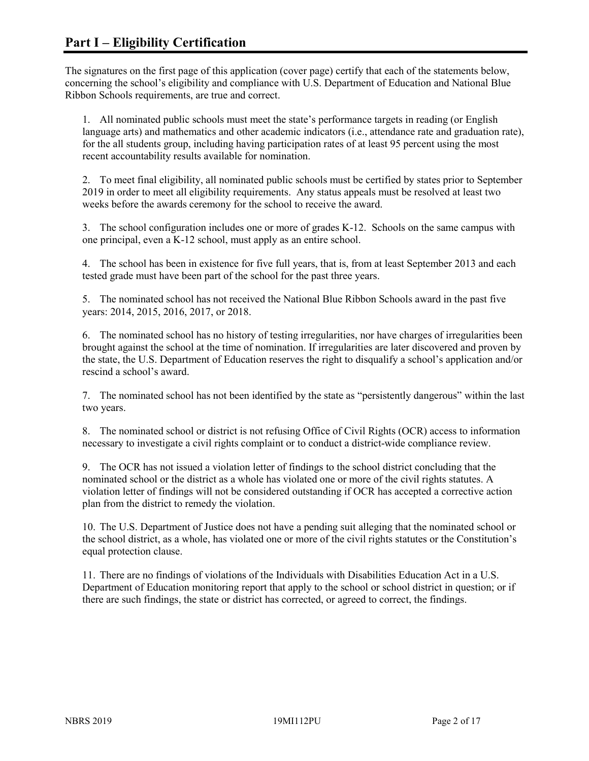The signatures on the first page of this application (cover page) certify that each of the statements below, concerning the school's eligibility and compliance with U.S. Department of Education and National Blue Ribbon Schools requirements, are true and correct.

1. All nominated public schools must meet the state's performance targets in reading (or English language arts) and mathematics and other academic indicators (i.e., attendance rate and graduation rate), for the all students group, including having participation rates of at least 95 percent using the most recent accountability results available for nomination.

2. To meet final eligibility, all nominated public schools must be certified by states prior to September 2019 in order to meet all eligibility requirements. Any status appeals must be resolved at least two weeks before the awards ceremony for the school to receive the award.

3. The school configuration includes one or more of grades K-12. Schools on the same campus with one principal, even a K-12 school, must apply as an entire school.

4. The school has been in existence for five full years, that is, from at least September 2013 and each tested grade must have been part of the school for the past three years.

5. The nominated school has not received the National Blue Ribbon Schools award in the past five years: 2014, 2015, 2016, 2017, or 2018.

6. The nominated school has no history of testing irregularities, nor have charges of irregularities been brought against the school at the time of nomination. If irregularities are later discovered and proven by the state, the U.S. Department of Education reserves the right to disqualify a school's application and/or rescind a school's award.

7. The nominated school has not been identified by the state as "persistently dangerous" within the last two years.

8. The nominated school or district is not refusing Office of Civil Rights (OCR) access to information necessary to investigate a civil rights complaint or to conduct a district-wide compliance review.

9. The OCR has not issued a violation letter of findings to the school district concluding that the nominated school or the district as a whole has violated one or more of the civil rights statutes. A violation letter of findings will not be considered outstanding if OCR has accepted a corrective action plan from the district to remedy the violation.

10. The U.S. Department of Justice does not have a pending suit alleging that the nominated school or the school district, as a whole, has violated one or more of the civil rights statutes or the Constitution's equal protection clause.

11. There are no findings of violations of the Individuals with Disabilities Education Act in a U.S. Department of Education monitoring report that apply to the school or school district in question; or if there are such findings, the state or district has corrected, or agreed to correct, the findings.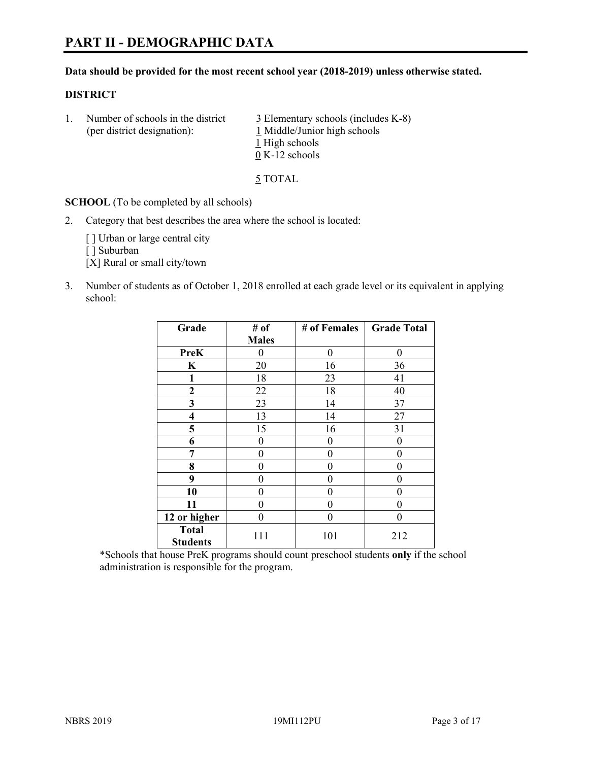# **PART II - DEMOGRAPHIC DATA**

#### **Data should be provided for the most recent school year (2018-2019) unless otherwise stated.**

#### **DISTRICT**

1. Number of schools in the district  $\frac{3}{2}$  Elementary schools (includes K-8) (per district designation): 1 Middle/Junior high schools 1 High schools 0 K-12 schools

5 TOTAL

**SCHOOL** (To be completed by all schools)

2. Category that best describes the area where the school is located:

[ ] Urban or large central city

[ ] Suburban

[X] Rural or small city/town

3. Number of students as of October 1, 2018 enrolled at each grade level or its equivalent in applying school:

| Grade                           | # of         | # of Females | <b>Grade Total</b> |
|---------------------------------|--------------|--------------|--------------------|
|                                 | <b>Males</b> |              |                    |
| <b>PreK</b>                     | 0            | $\theta$     | 0                  |
| $\mathbf K$                     | 20           | 16           | 36                 |
| 1                               | 18           | 23           | 41                 |
| 2                               | 22           | 18           | 40                 |
| 3                               | 23           | 14           | 37                 |
| $\overline{\mathbf{4}}$         | 13           | 14           | 27                 |
| 5                               | 15           | 16           | 31                 |
| 6                               | 0            | 0            | 0                  |
| 7                               | 0            | $\theta$     | 0                  |
| 8                               | 0            | 0            | 0                  |
| 9                               | 0            | 0            | 0                  |
| 10                              | 0            | 0            | 0                  |
| 11                              | $\theta$     | 0            | 0                  |
| 12 or higher                    | 0            | 0            | 0                  |
| <b>Total</b><br><b>Students</b> | 111          | 101          | 212                |

\*Schools that house PreK programs should count preschool students **only** if the school administration is responsible for the program.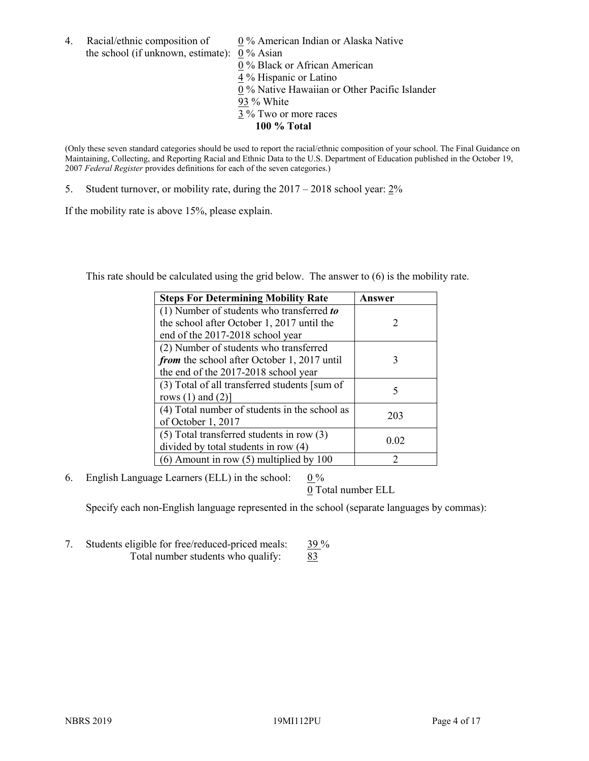4. Racial/ethnic composition of  $0\%$  American Indian or Alaska Native the school (if unknown, estimate): 0 % Asian

 % Black or African American % Hispanic or Latino % Native Hawaiian or Other Pacific Islander 93 % White % Two or more races **100 % Total**

(Only these seven standard categories should be used to report the racial/ethnic composition of your school. The Final Guidance on Maintaining, Collecting, and Reporting Racial and Ethnic Data to the U.S. Department of Education published in the October 19, 2007 *Federal Register* provides definitions for each of the seven categories.)

5. Student turnover, or mobility rate, during the  $2017 - 2018$  school year:  $2\%$ 

If the mobility rate is above 15%, please explain.

This rate should be calculated using the grid below. The answer to (6) is the mobility rate.

| <b>Steps For Determining Mobility Rate</b>    | Answer                      |
|-----------------------------------------------|-----------------------------|
| (1) Number of students who transferred to     |                             |
| the school after October 1, 2017 until the    | $\mathcal{D}_{\mathcal{L}}$ |
| end of the 2017-2018 school year              |                             |
| (2) Number of students who transferred        |                             |
| from the school after October 1, 2017 until   | 3                           |
| the end of the 2017-2018 school year          |                             |
| (3) Total of all transferred students [sum of | 5                           |
| rows $(1)$ and $(2)$ ]                        |                             |
| (4) Total number of students in the school as |                             |
| of October 1, 2017                            | 203                         |
| $(5)$ Total transferred students in row $(3)$ |                             |
| divided by total students in row (4)          | 0.02                        |
| $(6)$ Amount in row $(5)$ multiplied by 100   | 2                           |

6. English Language Learners (ELL) in the school:  $0\%$ 

0 Total number ELL

Specify each non-English language represented in the school (separate languages by commas):

7. Students eligible for free/reduced-priced meals:  $\frac{39\%}{83}$ <br>Total number students who qualify: 83 Total number students who qualify: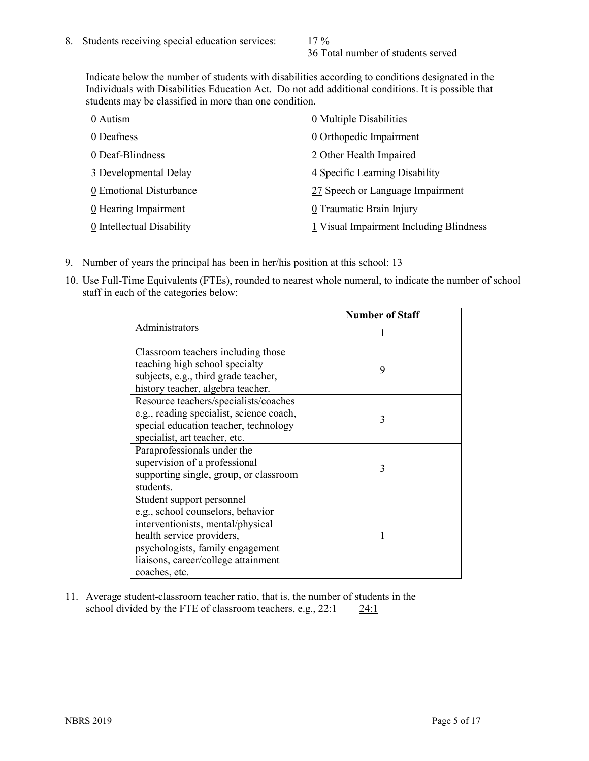36 Total number of students served

Indicate below the number of students with disabilities according to conditions designated in the Individuals with Disabilities Education Act. Do not add additional conditions. It is possible that students may be classified in more than one condition.

| 0 Autism                           | 0 Multiple Disabilities                 |
|------------------------------------|-----------------------------------------|
| 0 Deafness                         | 0 Orthopedic Impairment                 |
| 0 Deaf-Blindness                   | 2 Other Health Impaired                 |
| 3 Developmental Delay              | 4 Specific Learning Disability          |
| 0 Emotional Disturbance            | 27 Speech or Language Impairment        |
| $\underline{0}$ Hearing Impairment | 0 Traumatic Brain Injury                |
| 0 Intellectual Disability          | 1 Visual Impairment Including Blindness |

- 9. Number of years the principal has been in her/his position at this school: 13
- 10. Use Full-Time Equivalents (FTEs), rounded to nearest whole numeral, to indicate the number of school staff in each of the categories below:

|                                                                                                                                                                                                                              | <b>Number of Staff</b> |
|------------------------------------------------------------------------------------------------------------------------------------------------------------------------------------------------------------------------------|------------------------|
| Administrators                                                                                                                                                                                                               |                        |
| Classroom teachers including those<br>teaching high school specialty<br>subjects, e.g., third grade teacher,<br>history teacher, algebra teacher.                                                                            | 9                      |
| Resource teachers/specialists/coaches<br>e.g., reading specialist, science coach,<br>special education teacher, technology<br>specialist, art teacher, etc.                                                                  | 3                      |
| Paraprofessionals under the<br>supervision of a professional<br>supporting single, group, or classroom<br>students.                                                                                                          | 3                      |
| Student support personnel<br>e.g., school counselors, behavior<br>interventionists, mental/physical<br>health service providers,<br>psychologists, family engagement<br>liaisons, career/college attainment<br>coaches, etc. |                        |

11. Average student-classroom teacher ratio, that is, the number of students in the school divided by the FTE of classroom teachers, e.g., 22:1 24:1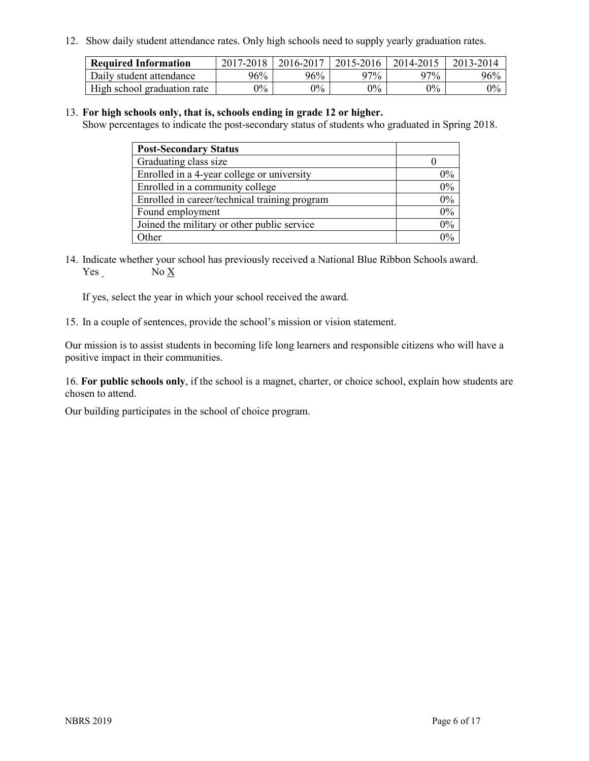12. Show daily student attendance rates. Only high schools need to supply yearly graduation rates.

| <b>Required Information</b> | 2017-2018 | 2016-2017 | 2015-2016 | 2014-2015 | 2013-2014 |
|-----------------------------|-----------|-----------|-----------|-----------|-----------|
| Daily student attendance    | 96%       | 96%       | 97%       | $27\%$    | 96%       |
| High school graduation rate | $0\%$     | $0\%$     | $0\%$     | $9\%$     | $0\%$     |

#### 13. **For high schools only, that is, schools ending in grade 12 or higher.**

Show percentages to indicate the post-secondary status of students who graduated in Spring 2018.

| <b>Post-Secondary Status</b>                  |       |
|-----------------------------------------------|-------|
| Graduating class size                         |       |
| Enrolled in a 4-year college or university    | $0\%$ |
| Enrolled in a community college               | 0%    |
| Enrolled in career/technical training program | 0%    |
| Found employment                              | 0%    |
| Joined the military or other public service   | 0%    |
| Other                                         | በ‰    |

14. Indicate whether your school has previously received a National Blue Ribbon Schools award. Yes No X

If yes, select the year in which your school received the award.

15. In a couple of sentences, provide the school's mission or vision statement.

Our mission is to assist students in becoming life long learners and responsible citizens who will have a positive impact in their communities.

16. **For public schools only**, if the school is a magnet, charter, or choice school, explain how students are chosen to attend.

Our building participates in the school of choice program.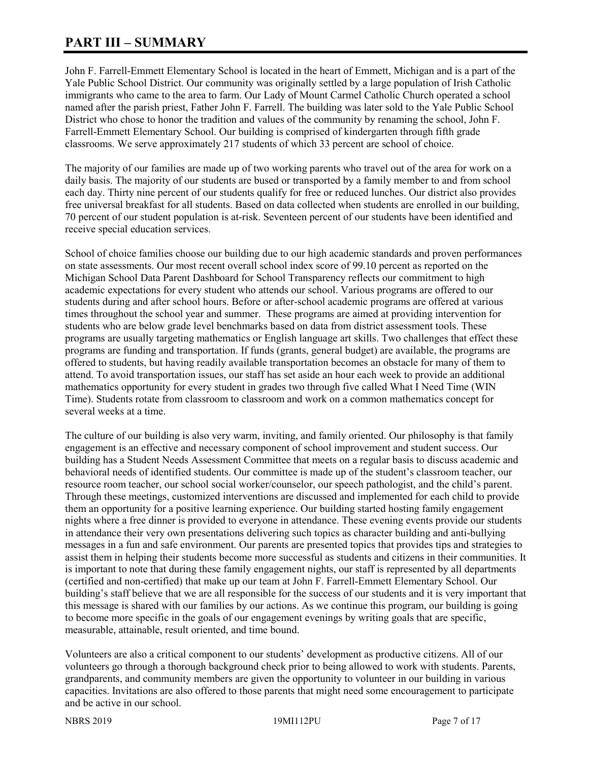# **PART III – SUMMARY**

John F. Farrell-Emmett Elementary School is located in the heart of Emmett, Michigan and is a part of the Yale Public School District. Our community was originally settled by a large population of Irish Catholic immigrants who came to the area to farm. Our Lady of Mount Carmel Catholic Church operated a school named after the parish priest, Father John F. Farrell. The building was later sold to the Yale Public School District who chose to honor the tradition and values of the community by renaming the school, John F. Farrell-Emmett Elementary School. Our building is comprised of kindergarten through fifth grade classrooms. We serve approximately 217 students of which 33 percent are school of choice.

The majority of our families are made up of two working parents who travel out of the area for work on a daily basis. The majority of our students are bused or transported by a family member to and from school each day. Thirty nine percent of our students qualify for free or reduced lunches. Our district also provides free universal breakfast for all students. Based on data collected when students are enrolled in our building, 70 percent of our student population is at-risk. Seventeen percent of our students have been identified and receive special education services.

School of choice families choose our building due to our high academic standards and proven performances on state assessments. Our most recent overall school index score of 99.10 percent as reported on the Michigan School Data Parent Dashboard for School Transparency reflects our commitment to high academic expectations for every student who attends our school. Various programs are offered to our students during and after school hours. Before or after-school academic programs are offered at various times throughout the school year and summer. These programs are aimed at providing intervention for students who are below grade level benchmarks based on data from district assessment tools. These programs are usually targeting mathematics or English language art skills. Two challenges that effect these programs are funding and transportation. If funds (grants, general budget) are available, the programs are offered to students, but having readily available transportation becomes an obstacle for many of them to attend. To avoid transportation issues, our staff has set aside an hour each week to provide an additional mathematics opportunity for every student in grades two through five called What I Need Time (WIN Time). Students rotate from classroom to classroom and work on a common mathematics concept for several weeks at a time.

The culture of our building is also very warm, inviting, and family oriented. Our philosophy is that family engagement is an effective and necessary component of school improvement and student success. Our building has a Student Needs Assessment Committee that meets on a regular basis to discuss academic and behavioral needs of identified students. Our committee is made up of the student's classroom teacher, our resource room teacher, our school social worker/counselor, our speech pathologist, and the child's parent. Through these meetings, customized interventions are discussed and implemented for each child to provide them an opportunity for a positive learning experience. Our building started hosting family engagement nights where a free dinner is provided to everyone in attendance. These evening events provide our students in attendance their very own presentations delivering such topics as character building and anti-bullying messages in a fun and safe environment. Our parents are presented topics that provides tips and strategies to assist them in helping their students become more successful as students and citizens in their communities. It is important to note that during these family engagement nights, our staff is represented by all departments (certified and non-certified) that make up our team at John F. Farrell-Emmett Elementary School. Our building's staff believe that we are all responsible for the success of our students and it is very important that this message is shared with our families by our actions. As we continue this program, our building is going to become more specific in the goals of our engagement evenings by writing goals that are specific, measurable, attainable, result oriented, and time bound.

Volunteers are also a critical component to our students' development as productive citizens. All of our volunteers go through a thorough background check prior to being allowed to work with students. Parents, grandparents, and community members are given the opportunity to volunteer in our building in various capacities. Invitations are also offered to those parents that might need some encouragement to participate and be active in our school.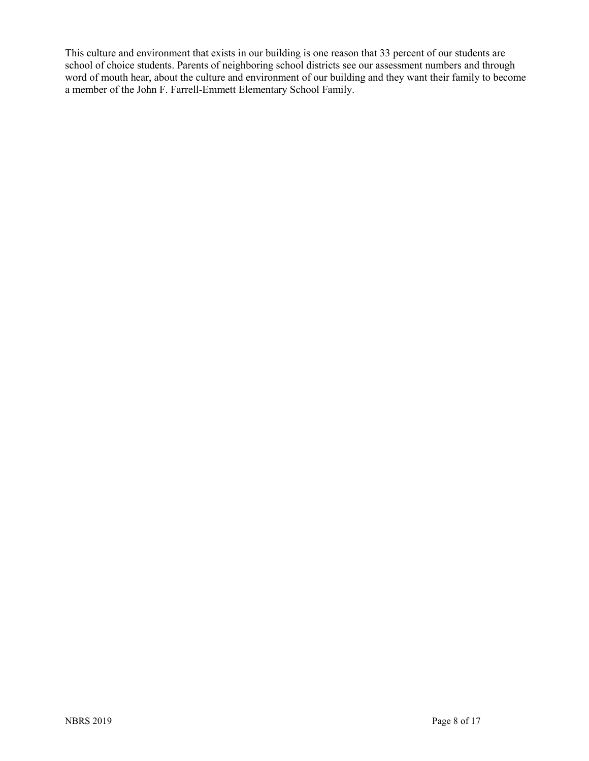This culture and environment that exists in our building is one reason that 33 percent of our students are school of choice students. Parents of neighboring school districts see our assessment numbers and through word of mouth hear, about the culture and environment of our building and they want their family to become a member of the John F. Farrell-Emmett Elementary School Family.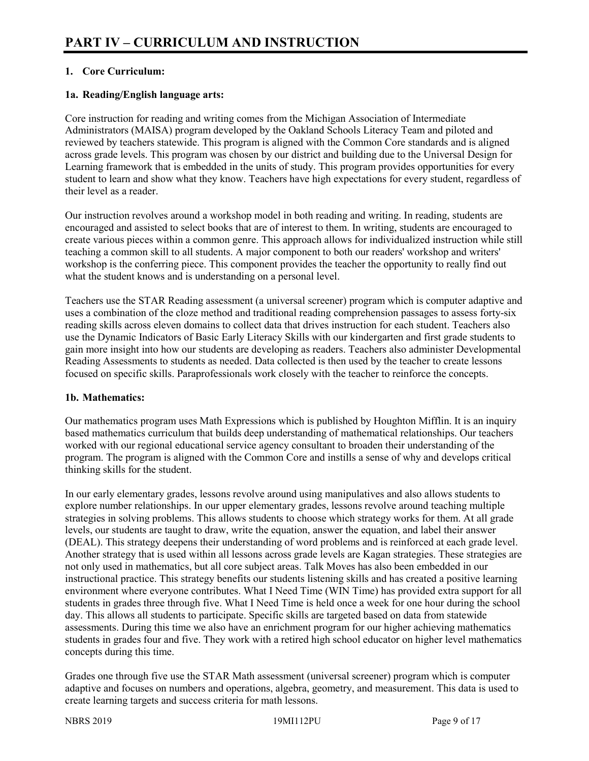# **1. Core Curriculum:**

## **1a. Reading/English language arts:**

Core instruction for reading and writing comes from the Michigan Association of Intermediate Administrators (MAISA) program developed by the Oakland Schools Literacy Team and piloted and reviewed by teachers statewide. This program is aligned with the Common Core standards and is aligned across grade levels. This program was chosen by our district and building due to the Universal Design for Learning framework that is embedded in the units of study. This program provides opportunities for every student to learn and show what they know. Teachers have high expectations for every student, regardless of their level as a reader.

Our instruction revolves around a workshop model in both reading and writing. In reading, students are encouraged and assisted to select books that are of interest to them. In writing, students are encouraged to create various pieces within a common genre. This approach allows for individualized instruction while still teaching a common skill to all students. A major component to both our readers' workshop and writers' workshop is the conferring piece. This component provides the teacher the opportunity to really find out what the student knows and is understanding on a personal level.

Teachers use the STAR Reading assessment (a universal screener) program which is computer adaptive and uses a combination of the cloze method and traditional reading comprehension passages to assess forty-six reading skills across eleven domains to collect data that drives instruction for each student. Teachers also use the Dynamic Indicators of Basic Early Literacy Skills with our kindergarten and first grade students to gain more insight into how our students are developing as readers. Teachers also administer Developmental Reading Assessments to students as needed. Data collected is then used by the teacher to create lessons focused on specific skills. Paraprofessionals work closely with the teacher to reinforce the concepts.

#### **1b. Mathematics:**

Our mathematics program uses Math Expressions which is published by Houghton Mifflin. It is an inquiry based mathematics curriculum that builds deep understanding of mathematical relationships. Our teachers worked with our regional educational service agency consultant to broaden their understanding of the program. The program is aligned with the Common Core and instills a sense of why and develops critical thinking skills for the student.

In our early elementary grades, lessons revolve around using manipulatives and also allows students to explore number relationships. In our upper elementary grades, lessons revolve around teaching multiple strategies in solving problems. This allows students to choose which strategy works for them. At all grade levels, our students are taught to draw, write the equation, answer the equation, and label their answer (DEAL). This strategy deepens their understanding of word problems and is reinforced at each grade level. Another strategy that is used within all lessons across grade levels are Kagan strategies. These strategies are not only used in mathematics, but all core subject areas. Talk Moves has also been embedded in our instructional practice. This strategy benefits our students listening skills and has created a positive learning environment where everyone contributes. What I Need Time (WIN Time) has provided extra support for all students in grades three through five. What I Need Time is held once a week for one hour during the school day. This allows all students to participate. Specific skills are targeted based on data from statewide assessments. During this time we also have an enrichment program for our higher achieving mathematics students in grades four and five. They work with a retired high school educator on higher level mathematics concepts during this time.

Grades one through five use the STAR Math assessment (universal screener) program which is computer adaptive and focuses on numbers and operations, algebra, geometry, and measurement. This data is used to create learning targets and success criteria for math lessons.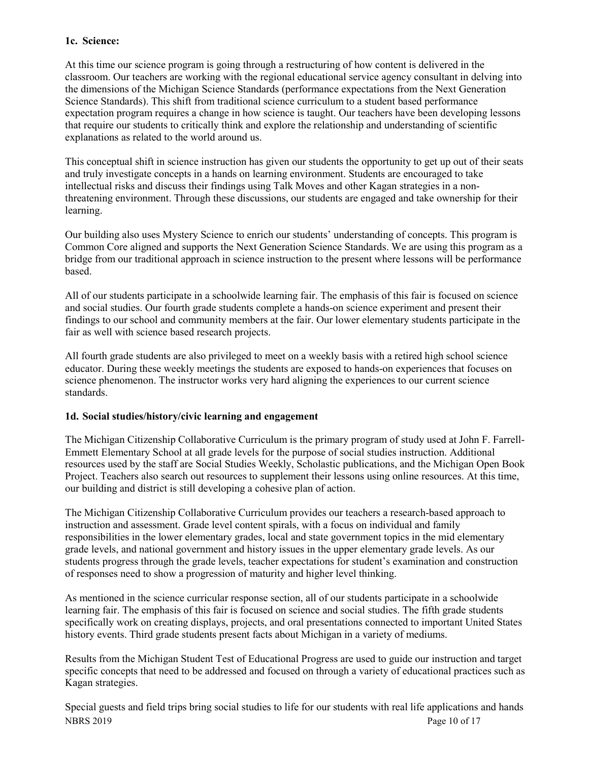#### **1c. Science:**

At this time our science program is going through a restructuring of how content is delivered in the classroom. Our teachers are working with the regional educational service agency consultant in delving into the dimensions of the Michigan Science Standards (performance expectations from the Next Generation Science Standards). This shift from traditional science curriculum to a student based performance expectation program requires a change in how science is taught. Our teachers have been developing lessons that require our students to critically think and explore the relationship and understanding of scientific explanations as related to the world around us.

This conceptual shift in science instruction has given our students the opportunity to get up out of their seats and truly investigate concepts in a hands on learning environment. Students are encouraged to take intellectual risks and discuss their findings using Talk Moves and other Kagan strategies in a nonthreatening environment. Through these discussions, our students are engaged and take ownership for their learning.

Our building also uses Mystery Science to enrich our students' understanding of concepts. This program is Common Core aligned and supports the Next Generation Science Standards. We are using this program as a bridge from our traditional approach in science instruction to the present where lessons will be performance based.

All of our students participate in a schoolwide learning fair. The emphasis of this fair is focused on science and social studies. Our fourth grade students complete a hands-on science experiment and present their findings to our school and community members at the fair. Our lower elementary students participate in the fair as well with science based research projects.

All fourth grade students are also privileged to meet on a weekly basis with a retired high school science educator. During these weekly meetings the students are exposed to hands-on experiences that focuses on science phenomenon. The instructor works very hard aligning the experiences to our current science standards.

#### **1d. Social studies/history/civic learning and engagement**

The Michigan Citizenship Collaborative Curriculum is the primary program of study used at John F. Farrell-Emmett Elementary School at all grade levels for the purpose of social studies instruction. Additional resources used by the staff are Social Studies Weekly, Scholastic publications, and the Michigan Open Book Project. Teachers also search out resources to supplement their lessons using online resources. At this time, our building and district is still developing a cohesive plan of action.

The Michigan Citizenship Collaborative Curriculum provides our teachers a research-based approach to instruction and assessment. Grade level content spirals, with a focus on individual and family responsibilities in the lower elementary grades, local and state government topics in the mid elementary grade levels, and national government and history issues in the upper elementary grade levels. As our students progress through the grade levels, teacher expectations for student's examination and construction of responses need to show a progression of maturity and higher level thinking.

As mentioned in the science curricular response section, all of our students participate in a schoolwide learning fair. The emphasis of this fair is focused on science and social studies. The fifth grade students specifically work on creating displays, projects, and oral presentations connected to important United States history events. Third grade students present facts about Michigan in a variety of mediums.

Results from the Michigan Student Test of Educational Progress are used to guide our instruction and target specific concepts that need to be addressed and focused on through a variety of educational practices such as Kagan strategies.

NBRS 2019 Page 10 of 17 Special guests and field trips bring social studies to life for our students with real life applications and hands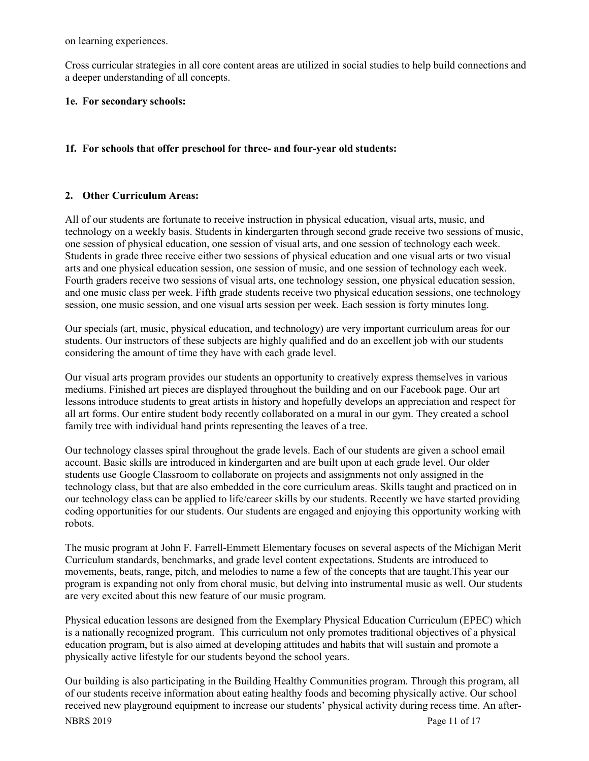on learning experiences.

Cross curricular strategies in all core content areas are utilized in social studies to help build connections and a deeper understanding of all concepts.

#### **1e. For secondary schools:**

#### **1f. For schools that offer preschool for three- and four-year old students:**

#### **2. Other Curriculum Areas:**

All of our students are fortunate to receive instruction in physical education, visual arts, music, and technology on a weekly basis. Students in kindergarten through second grade receive two sessions of music, one session of physical education, one session of visual arts, and one session of technology each week. Students in grade three receive either two sessions of physical education and one visual arts or two visual arts and one physical education session, one session of music, and one session of technology each week. Fourth graders receive two sessions of visual arts, one technology session, one physical education session, and one music class per week. Fifth grade students receive two physical education sessions, one technology session, one music session, and one visual arts session per week. Each session is forty minutes long.

Our specials (art, music, physical education, and technology) are very important curriculum areas for our students. Our instructors of these subjects are highly qualified and do an excellent job with our students considering the amount of time they have with each grade level.

Our visual arts program provides our students an opportunity to creatively express themselves in various mediums. Finished art pieces are displayed throughout the building and on our Facebook page. Our art lessons introduce students to great artists in history and hopefully develops an appreciation and respect for all art forms. Our entire student body recently collaborated on a mural in our gym. They created a school family tree with individual hand prints representing the leaves of a tree.

Our technology classes spiral throughout the grade levels. Each of our students are given a school email account. Basic skills are introduced in kindergarten and are built upon at each grade level. Our older students use Google Classroom to collaborate on projects and assignments not only assigned in the technology class, but that are also embedded in the core curriculum areas. Skills taught and practiced on in our technology class can be applied to life/career skills by our students. Recently we have started providing coding opportunities for our students. Our students are engaged and enjoying this opportunity working with robots.

The music program at John F. Farrell-Emmett Elementary focuses on several aspects of the Michigan Merit Curriculum standards, benchmarks, and grade level content expectations. Students are introduced to movements, beats, range, pitch, and melodies to name a few of the concepts that are taught.This year our program is expanding not only from choral music, but delving into instrumental music as well. Our students are very excited about this new feature of our music program.

Physical education lessons are designed from the Exemplary Physical Education Curriculum (EPEC) which is a nationally recognized program. This curriculum not only promotes traditional objectives of a physical education program, but is also aimed at developing attitudes and habits that will sustain and promote a physically active lifestyle for our students beyond the school years.

Our building is also participating in the Building Healthy Communities program. Through this program, all of our students receive information about eating healthy foods and becoming physically active. Our school received new playground equipment to increase our students' physical activity during recess time. An after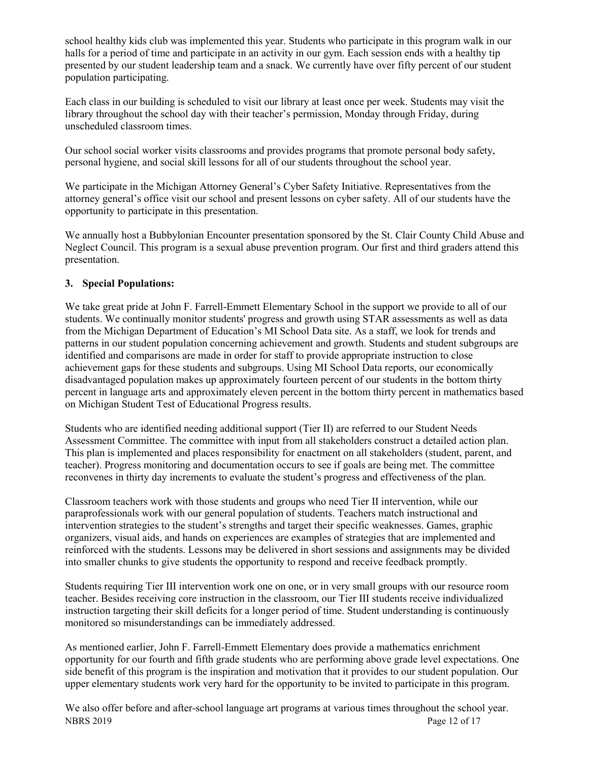school healthy kids club was implemented this year. Students who participate in this program walk in our halls for a period of time and participate in an activity in our gym. Each session ends with a healthy tip presented by our student leadership team and a snack. We currently have over fifty percent of our student population participating.

Each class in our building is scheduled to visit our library at least once per week. Students may visit the library throughout the school day with their teacher's permission, Monday through Friday, during unscheduled classroom times.

Our school social worker visits classrooms and provides programs that promote personal body safety, personal hygiene, and social skill lessons for all of our students throughout the school year.

We participate in the Michigan Attorney General's Cyber Safety Initiative. Representatives from the attorney general's office visit our school and present lessons on cyber safety. All of our students have the opportunity to participate in this presentation.

We annually host a Bubbylonian Encounter presentation sponsored by the St. Clair County Child Abuse and Neglect Council. This program is a sexual abuse prevention program. Our first and third graders attend this presentation.

# **3. Special Populations:**

We take great pride at John F. Farrell-Emmett Elementary School in the support we provide to all of our students. We continually monitor students' progress and growth using STAR assessments as well as data from the Michigan Department of Education's MI School Data site. As a staff, we look for trends and patterns in our student population concerning achievement and growth. Students and student subgroups are identified and comparisons are made in order for staff to provide appropriate instruction to close achievement gaps for these students and subgroups. Using MI School Data reports, our economically disadvantaged population makes up approximately fourteen percent of our students in the bottom thirty percent in language arts and approximately eleven percent in the bottom thirty percent in mathematics based on Michigan Student Test of Educational Progress results.

Students who are identified needing additional support (Tier II) are referred to our Student Needs Assessment Committee. The committee with input from all stakeholders construct a detailed action plan. This plan is implemented and places responsibility for enactment on all stakeholders (student, parent, and teacher). Progress monitoring and documentation occurs to see if goals are being met. The committee reconvenes in thirty day increments to evaluate the student's progress and effectiveness of the plan.

Classroom teachers work with those students and groups who need Tier II intervention, while our paraprofessionals work with our general population of students. Teachers match instructional and intervention strategies to the student's strengths and target their specific weaknesses. Games, graphic organizers, visual aids, and hands on experiences are examples of strategies that are implemented and reinforced with the students. Lessons may be delivered in short sessions and assignments may be divided into smaller chunks to give students the opportunity to respond and receive feedback promptly.

Students requiring Tier III intervention work one on one, or in very small groups with our resource room teacher. Besides receiving core instruction in the classroom, our Tier III students receive individualized instruction targeting their skill deficits for a longer period of time. Student understanding is continuously monitored so misunderstandings can be immediately addressed.

As mentioned earlier, John F. Farrell-Emmett Elementary does provide a mathematics enrichment opportunity for our fourth and fifth grade students who are performing above grade level expectations. One side benefit of this program is the inspiration and motivation that it provides to our student population. Our upper elementary students work very hard for the opportunity to be invited to participate in this program.

NBRS 2019 Page 12 of 17 We also offer before and after-school language art programs at various times throughout the school year.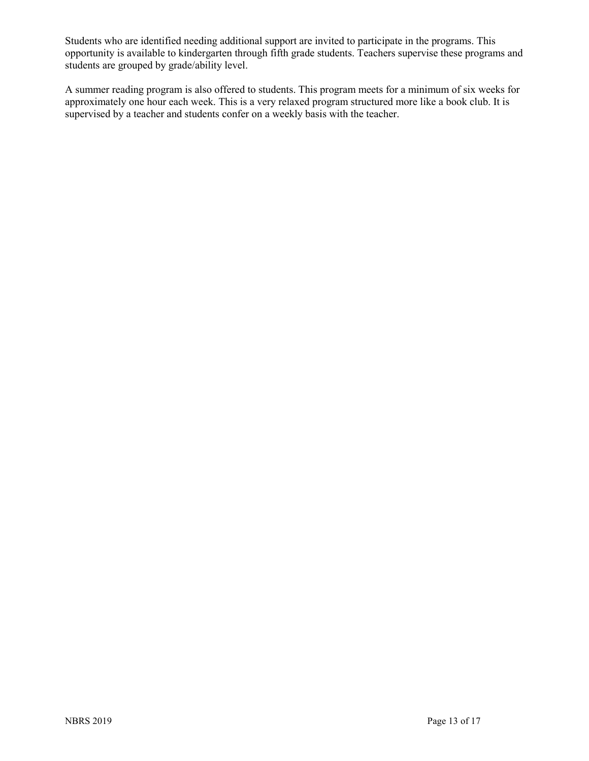Students who are identified needing additional support are invited to participate in the programs. This opportunity is available to kindergarten through fifth grade students. Teachers supervise these programs and students are grouped by grade/ability level.

A summer reading program is also offered to students. This program meets for a minimum of six weeks for approximately one hour each week. This is a very relaxed program structured more like a book club. It is supervised by a teacher and students confer on a weekly basis with the teacher.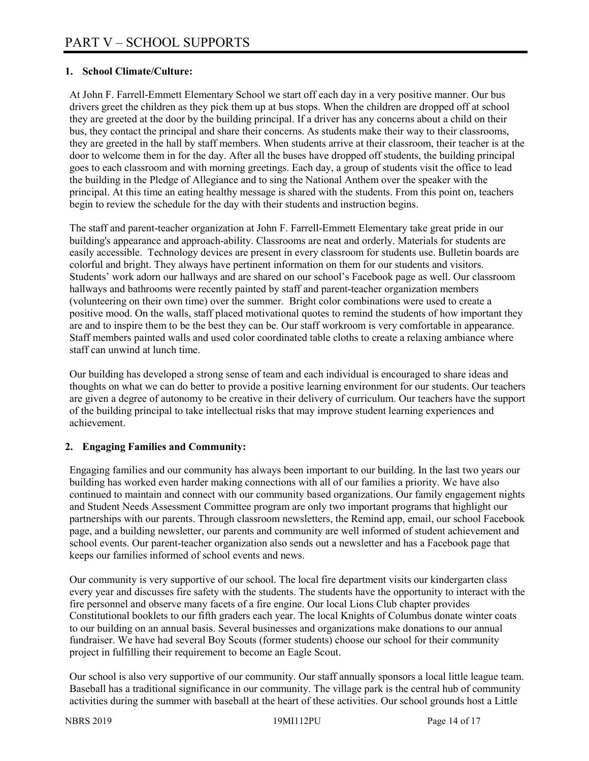## **1. School Climate/Culture:**

At John F. Farrell-Emmett Elementary School we start off each day in a very positive manner. Our bus drivers greet the children as they pick them up at bus stops. When the children are dropped off at school they are greeted at the door by the building principal. If a driver has any concerns about a child on their bus, they contact the principal and share their concerns. As students make their way to their classrooms, they are greeted in the hall by staff members. When students arrive at their classroom, their teacher is at the door to welcome them in for the day. After all the buses have dropped off students, the building principal goes to each classroom and with morning greetings. Each day, a group of students visit the office to lead the building in the Pledge of Allegiance and to sing the National Anthem over the speaker with the principal. At this time an eating healthy message is shared with the students. From this point on, teachers begin to review the schedule for the day with their students and instruction begins.

The staff and parent-teacher organization at John F. Farrell-Emmett Elementary take great pride in our building's appearance and approach-ability. Classrooms are neat and orderly. Materials for students are easily accessible. Technology devices are present in every classroom for students use. Bulletin boards are colorful and bright. They always have pertinent information on them for our students and visitors. Students' work adorn our hallways and are shared on our school's Facebook page as well. Our classroom hallways and bathrooms were recently painted by staff and parent-teacher organization members (volunteering on their own time) over the summer. Bright color combinations were used to create a positive mood. On the walls, staff placed motivational quotes to remind the students of how important they are and to inspire them to be the best they can be. Our staff workroom is very comfortable in appearance. Staff members painted walls and used color coordinated table cloths to create a relaxing ambiance where staff can unwind at lunch time.

Our building has developed a strong sense of team and each individual is encouraged to share ideas and thoughts on what we can do better to provide a positive learning environment for our students. Our teachers are given a degree of autonomy to be creative in their delivery of curriculum. Our teachers have the support of the building principal to take intellectual risks that may improve student learning experiences and achievement.

# **2. Engaging Families and Community:**

Engaging families and our community has always been important to our building. In the last two years our building has worked even harder making connections with all of our families a priority. We have also continued to maintain and connect with our community based organizations. Our family engagement nights and Student Needs Assessment Committee program are only two important programs that highlight our partnerships with our parents. Through classroom newsletters, the Remind app, email, our school Facebook page, and a building newsletter, our parents and community are well informed of student achievement and school events. Our parent-teacher organization also sends out a newsletter and has a Facebook page that keeps our families informed of school events and news.

Our community is very supportive of our school. The local fire department visits our kindergarten class every year and discusses fire safety with the students. The students have the opportunity to interact with the fire personnel and observe many facets of a fire engine. Our local Lions Club chapter provides Constitutional booklets to our fifth graders each year. The local Knights of Columbus donate winter coats to our building on an annual basis. Several businesses and organizations make donations to our annual fundraiser. We have had several Boy Scouts (former students) choose our school for their community project in fulfilling their requirement to become an Eagle Scout.

Our school is also very supportive of our community. Our staff annually sponsors a local little league team. Baseball has a traditional significance in our community. The village park is the central hub of community activities during the summer with baseball at the heart of these activities. Our school grounds host a Little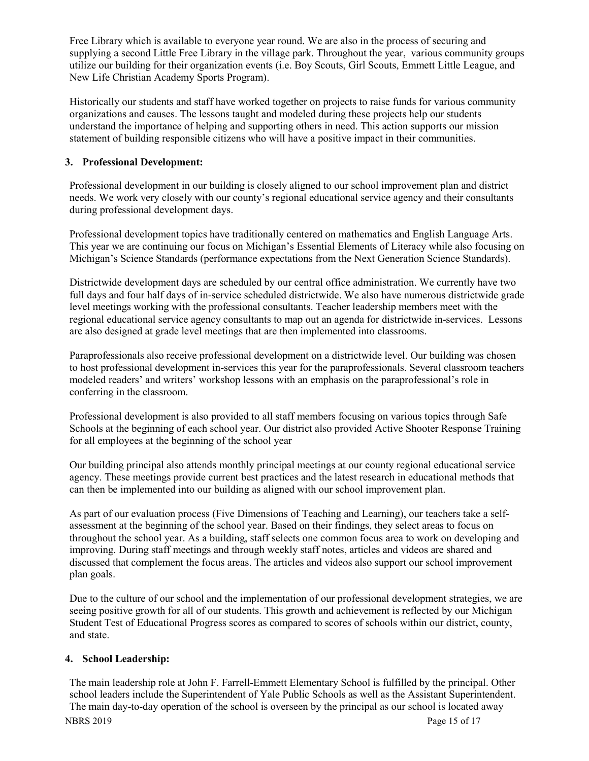Free Library which is available to everyone year round. We are also in the process of securing and supplying a second Little Free Library in the village park. Throughout the year, various community groups utilize our building for their organization events (i.e. Boy Scouts, Girl Scouts, Emmett Little League, and New Life Christian Academy Sports Program).

Historically our students and staff have worked together on projects to raise funds for various community organizations and causes. The lessons taught and modeled during these projects help our students understand the importance of helping and supporting others in need. This action supports our mission statement of building responsible citizens who will have a positive impact in their communities.

#### **3. Professional Development:**

Professional development in our building is closely aligned to our school improvement plan and district needs. We work very closely with our county's regional educational service agency and their consultants during professional development days.

Professional development topics have traditionally centered on mathematics and English Language Arts. This year we are continuing our focus on Michigan's Essential Elements of Literacy while also focusing on Michigan's Science Standards (performance expectations from the Next Generation Science Standards).

Districtwide development days are scheduled by our central office administration. We currently have two full days and four half days of in-service scheduled districtwide. We also have numerous districtwide grade level meetings working with the professional consultants. Teacher leadership members meet with the regional educational service agency consultants to map out an agenda for districtwide in-services. Lessons are also designed at grade level meetings that are then implemented into classrooms.

Paraprofessionals also receive professional development on a districtwide level. Our building was chosen to host professional development in-services this year for the paraprofessionals. Several classroom teachers modeled readers' and writers' workshop lessons with an emphasis on the paraprofessional's role in conferring in the classroom.

Professional development is also provided to all staff members focusing on various topics through Safe Schools at the beginning of each school year. Our district also provided Active Shooter Response Training for all employees at the beginning of the school year

Our building principal also attends monthly principal meetings at our county regional educational service agency. These meetings provide current best practices and the latest research in educational methods that can then be implemented into our building as aligned with our school improvement plan.

As part of our evaluation process (Five Dimensions of Teaching and Learning), our teachers take a selfassessment at the beginning of the school year. Based on their findings, they select areas to focus on throughout the school year. As a building, staff selects one common focus area to work on developing and improving. During staff meetings and through weekly staff notes, articles and videos are shared and discussed that complement the focus areas. The articles and videos also support our school improvement plan goals.

Due to the culture of our school and the implementation of our professional development strategies, we are seeing positive growth for all of our students. This growth and achievement is reflected by our Michigan Student Test of Educational Progress scores as compared to scores of schools within our district, county, and state.

# **4. School Leadership:**

The main leadership role at John F. Farrell-Emmett Elementary School is fulfilled by the principal. Other school leaders include the Superintendent of Yale Public Schools as well as the Assistant Superintendent. The main day-to-day operation of the school is overseen by the principal as our school is located away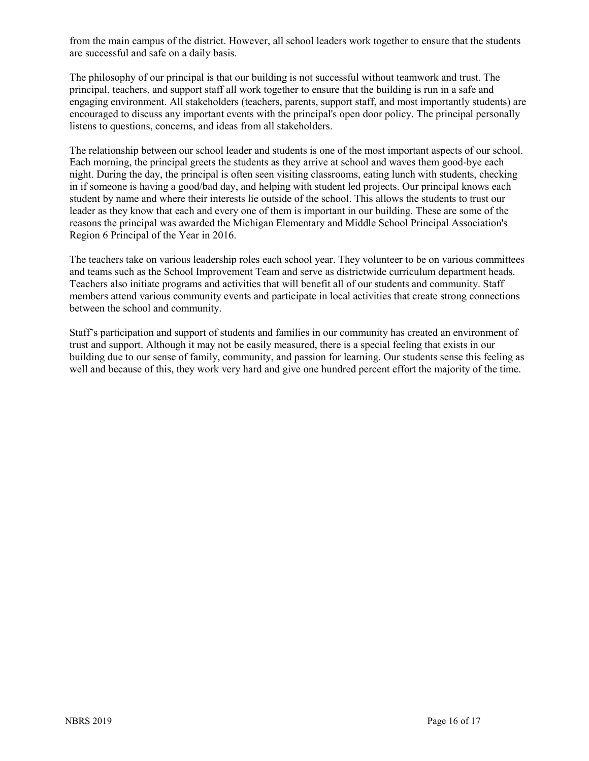from the main campus of the district. However, all school leaders work together to ensure that the students are successful and safe on a daily basis.

The philosophy of our principal is that our building is not successful without teamwork and trust. The principal, teachers, and support staff all work together to ensure that the building is run in a safe and engaging environment. All stakeholders (teachers, parents, support staff, and most importantly students) are encouraged to discuss any important events with the principal's open door policy. The principal personally listens to questions, concerns, and ideas from all stakeholders.

The relationship between our school leader and students is one of the most important aspects of our school. Each morning, the principal greets the students as they arrive at school and waves them good-bye each night. During the day, the principal is often seen visiting classrooms, eating lunch with students, checking in if someone is having a good/bad day, and helping with student led projects. Our principal knows each student by name and where their interests lie outside of the school. This allows the students to trust our leader as they know that each and every one of them is important in our building. These are some of the reasons the principal was awarded the Michigan Elementary and Middle School Principal Association's Region 6 Principal of the Year in 2016.

The teachers take on various leadership roles each school year. They volunteer to be on various committees and teams such as the School Improvement Team and serve as districtwide curriculum department heads. Teachers also initiate programs and activities that will benefit all of our students and community. Staff members attend various community events and participate in local activities that create strong connections between the school and community.

Staff's participation and support of students and families in our community has created an environment of trust and support. Although it may not be easily measured, there is a special feeling that exists in our building due to our sense of family, community, and passion for learning. Our students sense this feeling as well and because of this, they work very hard and give one hundred percent effort the majority of the time.